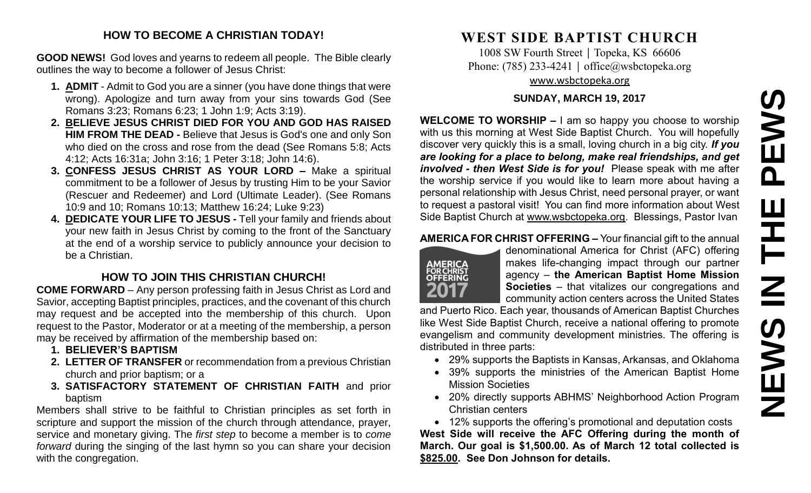#### **HOW TO BECOME A CHRISTIAN TODAY!**

**GOOD NEWS!** God loves and yearns to redeem all people. The Bible clearly outlines the way to become a follower of Jesus Christ:

- **1. ADMIT** Admit to God you are a sinner (you have done things that were wrong). Apologize and turn away from your sins towards God (See Romans 3:23; Romans 6:23; 1 John 1:9; Acts 3:19).
- **2. BELIEVE JESUS CHRIST DIED FOR YOU AND GOD HAS RAISED HIM FROM THE DEAD -** Believe that Jesus is God's one and only Son who died on the cross and rose from the dead (See Romans 5:8; Acts 4:12; Acts 16:31a; John 3:16; 1 Peter 3:18; John 14:6).
- **3. CONFESS JESUS CHRIST AS YOUR LORD –** Make a spiritual commitment to be a follower of Jesus by trusting Him to be your Savior (Rescuer and Redeemer) and Lord (Ultimate Leader). (See Romans 10:9 and 10; Romans 10:13; Matthew 16:24; Luke 9:23)
- **4. DEDICATE YOUR LIFE TO JESUS -** Tell your family and friends about your new faith in Jesus Christ by coming to the front of the Sanctuary at the end of a worship service to publicly announce your decision to be a Christian.

## **HOW TO JOIN THIS CHRISTIAN CHURCH!**

**COME FORWARD** – Any person professing faith in Jesus Christ as Lord and Savior, accepting Baptist principles, practices, and the covenant of this church may request and be accepted into the membership of this church. Upon request to the Pastor, Moderator or at a meeting of the membership, a person may be received by affirmation of the membership based on:

- **1. BELIEVER'S BAPTISM**
- **2. LETTER OF TRANSFER** or recommendation from a previous Christian church and prior baptism; or a
- **3. SATISFACTORY STATEMENT OF CHRISTIAN FAITH** and prior baptism

Members shall strive to be faithful to Christian principles as set forth in scripture and support the mission of the church through attendance, prayer, service and monetary giving. The *first step* to become a member is to *come forward* during the singing of the last hymn so you can share your decision with the congregation.

# **WEST SIDE BAPTIST CHURCH**

1008 SW Fourth Street | Topeka, KS 66606 Phone: (785) 233-4241 │ [office@wsbctopeka.org](mailto:office@wsbctopeka.org) [www.wsbctopeka.org](http://www.wsbctopeka.org/)

#### **SUNDAY, MARCH 19, 2017**

**WELCOME TO WORSHIP –** I am so happy you choose to worship with us this morning at West Side Baptist Church. You will hopefully discover very quickly this is a small, loving church in a big city. *If you are looking for a place to belong, make real friendships, and get involved - then West Side is for you!* Please speak with me after the worship service if you would like to learn more about having a personal relationship with Jesus Christ, need personal prayer, or want to request a pastoral visit! You can find more information about West Side Baptist Church at [www.wsbctopeka.org.](http://www.wsbctopeka.org/) Blessings, Pastor Ivan

#### **AMERICA FOR CHRIST OFFERING –** Your financial gift to the annual



denominational America for Christ (AFC) offering makes life-changing impact through our partner agency – **the American Baptist Home Mission Societies** – that vitalizes our congregations and community action centers across the United States

and Puerto Rico. Each year, thousands of American Baptist Churches like West Side Baptist Church, receive a national offering to promote evangelism and community development ministries. The offering is distributed in three parts:

- 29% supports the Baptists in Kansas, Arkansas, and Oklahoma
- 39% supports the ministries of the American Baptist Home Mission Societies
- 20% directly supports ABHMS' Neighborhood Action Program Christian centers

• 12% supports the offering's promotional and deputation costs **West Side will receive the AFC Offering during the month of March. Our goal is \$1,500.00. As of March 12 total collected is \$825.00. See Don Johnson for details.**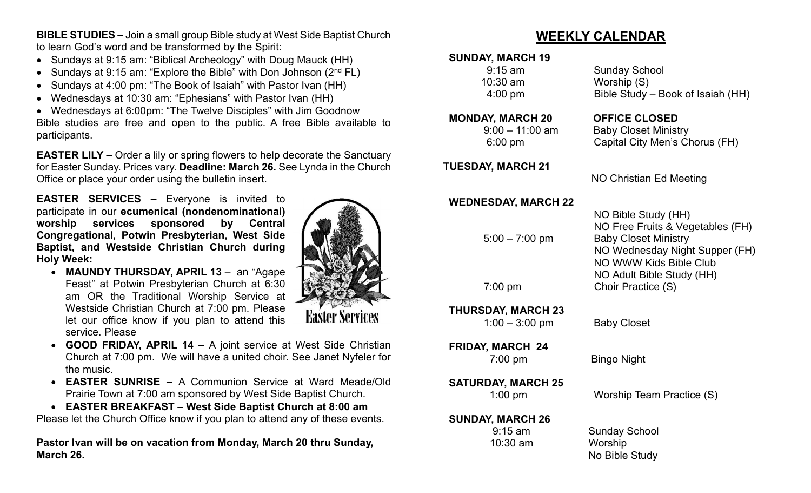**BIBLE STUDIES –** Join a small group Bible study at West Side Baptist Church to learn God's word and be transformed by the Spirit:

- Sundays at 9:15 am: "Biblical Archeology" with Doug Mauck (HH)
- Sundays at 9:15 am: "Explore the Bible" with Don Johnson  $(2^{nd} FL)$
- Sundays at 4:00 pm: "The Book of Isaiah" with Pastor Ivan (HH)
- Wednesdays at 10:30 am: "Ephesians" with Pastor Ivan (HH)

• Wednesdays at 6:00pm: "The Twelve Disciples" with Jim Goodnow Bible studies are free and open to the public. A free Bible available to participants.

**EASTER LILY –** Order a lily or spring flowers to help decorate the Sanctuary for Easter Sunday. Prices vary. **Deadline: March 26.** See Lynda in the Church Office or place your order using the bulletin insert.

**EASTER SERVICES –** Everyone is invited to participate in our **ecumenical (nondenominational) worship services sponsored by Central Congregational, Potwin Presbyterian, West Side Baptist, and Westside Christian Church during Holy Week:**

• **MAUNDY THURSDAY, APRIL 13** – an "Agape Feast" at Potwin Presbyterian Church at 6:30 am OR the Traditional Worship Service at Westside Christian Church at 7:00 pm. Please let our office know if you plan to attend this service. Please



- **GOOD FRIDAY, APRIL 14 –** A joint service at West Side Christian Church at 7:00 pm. We will have a united choir. See Janet Nyfeler for the music.
- **EASTER SUNRISE –** A Communion Service at Ward Meade/Old Prairie Town at 7:00 am sponsored by West Side Baptist Church.
- **EASTER BREAKFAST – West Side Baptist Church at 8:00 am**

Please let the Church Office know if you plan to attend any of these events.

**Pastor Ivan will be on vacation from Monday, March 20 thru Sunday, March 26.**

# **WEEKLY CALENDAR**

## **SUNDAY, MARCH 19**

| <b>SUNDAY, MARCH 19</b><br>$9:15$ am<br>10:30 am<br>$4:00$ pm | <b>Sunday School</b><br>Worship (S)<br>Bible Study - Book of Isaial                                                                                                                             |
|---------------------------------------------------------------|-------------------------------------------------------------------------------------------------------------------------------------------------------------------------------------------------|
| <b>MONDAY, MARCH 20</b><br>$9:00 - 11:00$ am<br>$6:00$ pm     | <b>OFFICE CLOSED</b><br><b>Baby Closet Ministry</b><br>Capital City Men's Chorus (                                                                                                              |
| <b>TUESDAY, MARCH 21</b>                                      | <b>NO Christian Ed Meeting</b>                                                                                                                                                                  |
| <b>WEDNESDAY, MARCH 22</b><br>$5:00 - 7:00$ pm<br>7:00 pm     | NO Bible Study (HH)<br>NO Free Fruits & Vegetable<br><b>Baby Closet Ministry</b><br><b>NO Wednesday Night Supp</b><br>NO WWW Kids Bible Club<br>NO Adult Bible Study (HH)<br>Choir Practice (S) |
| <b>THURSDAY, MARCH 23</b><br>$1:00 - 3:00$ pm                 | <b>Baby Closet</b>                                                                                                                                                                              |
| <b>FRIDAY, MARCH 24</b><br>$7:00$ pm                          | <b>Bingo Night</b>                                                                                                                                                                              |
| <b>SATURDAY, MARCH 25</b><br>$1:00$ pm                        | Worship Team Practice (S)                                                                                                                                                                       |
| <b>SUNDAY, MARCH 26</b><br>$9:15$ am                          | <b>Sunday School</b>                                                                                                                                                                            |

Isaiah (HH)

orus (FH)

etables (FH) Supper (FH)

### **SUNI**

10:30 am Worship

No Bible Study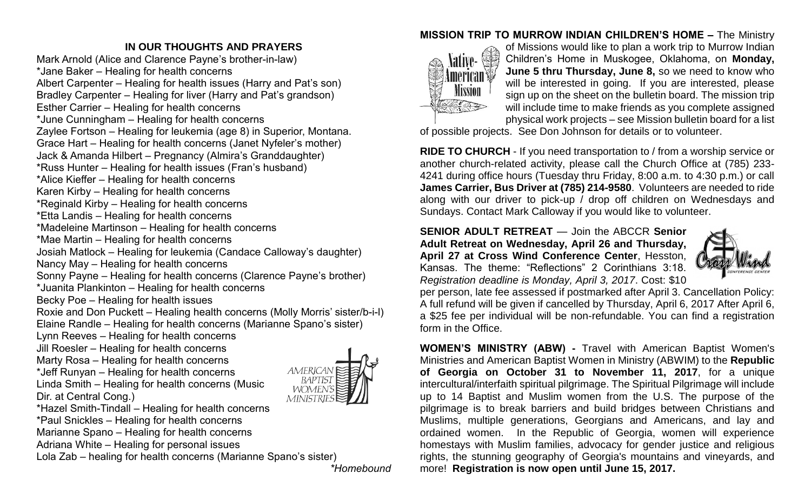## **IN OUR THOUGHTS AND PRAYERS**

Mark Arnold (Alice and Clarence Payne's brother-in-law) \*Jane Baker – Healing for health concerns Albert Carpenter – Healing for health issues (Harry and Pat's son) Bradley Carpenter – Healing for liver (Harry and Pat's grandson) Esther Carrier – Healing for health concerns \*June Cunningham – Healing for health concerns Zaylee Fortson – Healing for leukemia (age 8) in Superior, Montana. Grace Hart – Healing for health concerns (Janet Nyfeler's mother) Jack & Amanda Hilbert – Pregnancy (Almira's Granddaughter) \*Russ Hunter – Healing for health issues (Fran's husband) \*Alice Kieffer – Healing for health concerns Karen Kirby – Healing for health concerns \*Reginald Kirby – Healing for health concerns \*Etta Landis – Healing for health concerns \*Madeleine Martinson – Healing for health concerns \*Mae Martin – Healing for health concerns Josiah Matlock – Healing for leukemia (Candace Calloway's daughter) Nancy May – Healing for health concerns Sonny Payne – Healing for health concerns (Clarence Payne's brother) \*Juanita Plankinton – Healing for health concerns Becky Poe – Healing for health issues Roxie and Don Puckett – Healing health concerns (Molly Morris' sister/b-i-l) Elaine Randle – Healing for health concerns (Marianne Spano's sister) Lynn Reeves – Healing for health concerns Jill Roesler – Healing for health concerns Marty Rosa – Healing for health concerns \*Jeff Runyan – Healing for health concerns AMERICAI Linda Smith – Healing for health concerns (Music WOMEN Dir. at Central Cong.) MINISTR



\*Hazel Smith-Tindall – Healing for health concerns

\*Paul Snickles – Healing for health concerns

Marianne Spano – Healing for health concerns

Adriana White – Healing for personal issues

Lola Zab – healing for health concerns (Marianne Spano's sister)

*\*Homebound*

## **MISSION TRIP TO MURROW INDIAN CHILDREN'S HOME –** The Ministry



of Missions would like to plan a work trip to Murrow Indian Children's Home in Muskogee, Oklahoma, on **Monday, June 5 thru Thursday, June 8,** so we need to know who will be interested in going. If you are interested, please sign up on the sheet on the bulletin board. The mission trip will include time to make friends as you complete assigned physical work projects – see Mission bulletin board for a list

of possible projects. See Don Johnson for details or to volunteer.

**RIDE TO CHURCH** - If you need transportation to / from a worship service or another church-related activity, please call the Church Office at (785) 233- 4241 during office hours (Tuesday thru Friday, 8:00 a.m. to 4:30 p.m.) or call **James Carrier, Bus Driver at (785) 214-9580**. Volunteers are needed to ride along with our driver to pick-up / drop off children on Wednesdays and Sundays. Contact Mark Calloway if you would like to volunteer.

**SENIOR ADULT RETREAT** — Join the ABCCR **Senior Adult Retreat on Wednesday, April 26 and Thursday, April 27 at Cross Wind Conference Center**, Hesston, Kansas. The theme: "Reflections" 2 Corinthians 3:18. *Registration deadline is Monday, April 3, 2017*. Cost: \$10



per person, late fee assessed if postmarked after April 3. Cancellation Policy: A full refund will be given if cancelled by Thursday, April 6, 2017 After April 6, a \$25 fee per individual will be non-refundable. You can find a registration form in the Office.

**WOMEN'S MINISTRY (ABW) -** Travel with American Baptist Women's Ministries and American Baptist Women in Ministry (ABWIM) to the **Republic of Georgia on October 31 to November 11, 2017**, for a unique intercultural/interfaith spiritual pilgrimage. The Spiritual Pilgrimage will include up to 14 Baptist and Muslim women from the U.S. The purpose of the pilgrimage is to break barriers and build bridges between Christians and Muslims, multiple generations, Georgians and Americans, and lay and ordained women. In the Republic of Georgia, women will experience homestays with Muslim families, advocacy for gender justice and religious rights, the stunning geography of Georgia's mountains and vineyards, and more! **Registration is now open until June 15, 2017.**